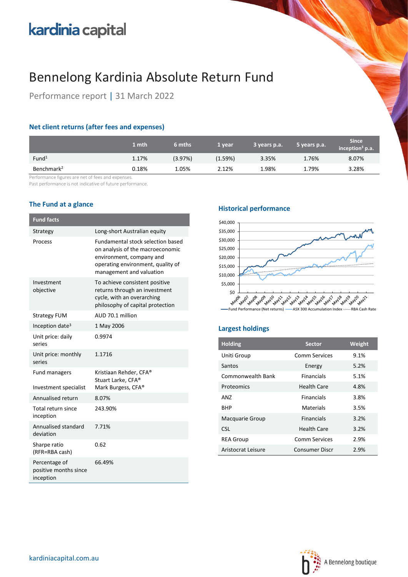# kardinia capital

## Bennelong Kardinia Absolute Return Fund

Performance report | 31 March 2022

## **Net client returns (after fees and expenses)**

|                        | 1 mth | 6 mths  | 1 year  | 3 years p.a. | 5 years p.a. | <b>Since</b><br>inception <sup>3</sup> p.a. |
|------------------------|-------|---------|---------|--------------|--------------|---------------------------------------------|
| Fund <sup>1</sup>      | 1.17% | (3.97%) | (1.59%) | 3.35%        | 1.76%        | 8.07%                                       |
| Benchmark <sup>2</sup> | 0.18% | 1.05%   | 2.12%   | 1.98%        | 1.79%        | 3.28%                                       |

Performance figures are net of fees and expenses.

Past performance is not indicative of future performance.

## **The Fund at a glance**

| <b>Fund facts</b>                                   |                                                                                                                                                                           |
|-----------------------------------------------------|---------------------------------------------------------------------------------------------------------------------------------------------------------------------------|
| Strategy                                            | Long-short Australian equity                                                                                                                                              |
| Process                                             | <b>Fundamental stock selection based</b><br>on analysis of the macroeconomic<br>environment, company and<br>operating environment, quality of<br>management and valuation |
| Investment<br>objective                             | To achieve consistent positive<br>returns through an investment<br>cycle, with an overarching<br>philosophy of capital protection                                         |
| <b>Strategy FUM</b>                                 | AUD 70.1 million                                                                                                                                                          |
| Inception date <sup>3</sup>                         | 1 May 2006                                                                                                                                                                |
| Unit price: daily<br>series                         | 0.9974                                                                                                                                                                    |
| Unit price: monthly<br>series                       | 1.1716                                                                                                                                                                    |
| <b>Fund managers</b><br>Investment specialist       | Kristiaan Rehder, CFA®<br>Stuart Larke, CFA®<br>Mark Burgess, CFA <sup>®</sup>                                                                                            |
| Annualised return                                   | 8.07%                                                                                                                                                                     |
| Total return since<br>inception                     | 243.90%                                                                                                                                                                   |
| Annualised standard<br>deviation                    | 7.71%                                                                                                                                                                     |
| Sharpe ratio<br>(RFR=RBA cash)                      | 0.62                                                                                                                                                                      |
| Percentage of<br>positive months since<br>inception | 66.49%                                                                                                                                                                    |

### **Historical performance**



## **Largest holdings**

| <b>Holding</b>     | <b>Sector</b>        | Weight |
|--------------------|----------------------|--------|
| Uniti Group        | Comm Services        | 9.1%   |
| Santos             | Energy               | 5.2%   |
| Commonwealth Bank  | <b>Financials</b>    | 5.1%   |
| Proteomics         | <b>Health Care</b>   | 4.8%   |
| AN7                | <b>Financials</b>    | 3.8%   |
| <b>BHP</b>         | Materials            | 3.5%   |
| Macquarie Group    | <b>Financials</b>    | 3.2%   |
| <b>CSL</b>         | Health Care          | 3.2%   |
| <b>REA Group</b>   | <b>Comm Services</b> | 2.9%   |
| Aristocrat Leisure | Consumer Discr       | 2.9%   |

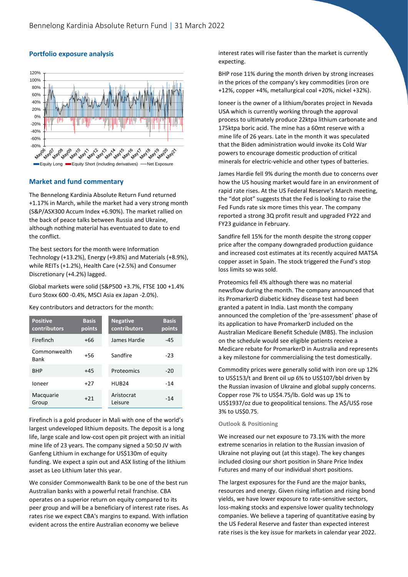

#### **Portfolio exposure analysis**

#### **Market and fund commentary**

The Bennelong Kardinia Absolute Return Fund returned +1.17% in March, while the market had a very strong month (S&P/ASX300 Accum Index +6.90%). The market rallied on the back of peace talks between Russia and Ukraine, although nothing material has eventuated to date to end the conflict.

The best sectors for the month were Information Technology (+13.2%), Energy (+9.8%) and Materials (+8.9%), while REITs (+1.2%), Health Care (+2.5%) and Consumer Discretionary (+4.2%) lagged.

Global markets were solid (S&P500 +3.7%, FTSE 100 +1.4% Euro Stoxx 600 -0.4%, MSCI Asia ex Japan -2.0%).

Key contributors and detractors for the month:

| <b>Positive</b><br>contributors | <b>Basis</b><br>points | <b>Negative</b><br>contributors | <b>Basis</b><br>points |
|---------------------------------|------------------------|---------------------------------|------------------------|
| Firefinch                       | $+66$                  | James Hardie                    | $-45$                  |
| Commonwealth<br><b>Bank</b>     | $+56$                  | Sandfire                        | $-23$                  |
| <b>BHP</b>                      | $+45$                  | Proteomics                      | $-20$                  |
| loneer                          | $+27$                  | HUB <sub>24</sub>               | $-14$                  |
| Macquarie<br>Group              | $+21$                  | Aristocrat<br>Leisure           | $-14$                  |

Firefinch is a gold producer in Mali with one of the world's largest undeveloped lithium deposits. The deposit is a long life, large scale and low-cost open pit project with an initial mine life of 23 years. The company signed a 50:50 JV with Ganfeng Lithium in exchange for US\$130m of equity funding. We expect a spin out and ASX listing of the lithium asset as Leo Lithium later this year.

We consider Commonwealth Bank to be one of the best run Australian banks with a powerful retail franchise. CBA operates on a superior return on equity compared to its peer group and will be a beneficiary of interest rate rises. As rates rise we expect CBA's margins to expand. With inflation evident across the entire Australian economy we believe

interest rates will rise faster than the market is currently expecting.

BHP rose 11% during the month driven by strong increases in the prices of the company's key commodities (iron ore +12%, copper +4%, metallurgical coal +20%, nickel +32%).

Ioneer is the owner of a lithium/borates project in Nevada USA which is currently working through the approval process to ultimately produce 22ktpa lithium carbonate and 175ktpa boric acid. The mine has a 60mt reserve with a mine life of 26 years. Late in the month it was speculated that the Biden administration would invoke its Cold War powers to encourage domestic production of critical minerals for electric-vehicle and other types of batteries.

James Hardie fell 9% during the month due to concerns over how the US housing market would fare in an environment of rapid rate rises. At the US Federal Reserve's March meeting, the "dot plot" suggests that the Fed is looking to raise the Fed Funds rate six more times this year. The company reported a strong 3Q profit result and upgraded FY22 and FY23 guidance in February.

Sandfire fell 15% for the month despite the strong copper price after the company downgraded production guidance and increased cost estimates at its recently acquired MATSA copper asset in Spain. The stock triggered the Fund's stop loss limits so was sold.

Proteomics fell 4% although there was no material newsflow during the month. The company announced that its PromarkerD diabetic kidney disease test had been granted a patent in India. Last month the company announced the completion of the 'pre-assessment' phase of its application to have PromarkerD included on the Australian Medicare Benefit Schedule (MBS). The inclusion on the schedule would see eligible patients receive a Medicare rebate for PromarkerD in Australia and represents a key milestone for commercialising the test domestically.

Commodity prices were generally solid with iron ore up 12% to US\$153/t and Brent oil up 6% to US\$107/bbl driven by the Russian invasion of Ukraine and global supply concerns. Copper rose 7% to US\$4.75/lb. Gold was up 1% to US\$1937/oz due to geopolitical tensions. The A\$/US\$ rose 3% to US\$0.75.

#### **Outlook & Positioning**

We increased our net exposure to 73.1% with the more extreme scenarios in relation to the Russian invasion of Ukraine not playing out (at this stage). The key changes included closing our short position in Share Price Index Futures and many of our individual short positions.

The largest exposures for the Fund are the major banks, resources and energy. Given rising inflation and rising bond yields, we have lower exposure to rate-sensitive sectors, loss-making stocks and expensive lower quality technology companies. We believe a tapering of quantitative easing by the US Federal Reserve and faster than expected interest rate rises is the key issue for markets in calendar year 2022.